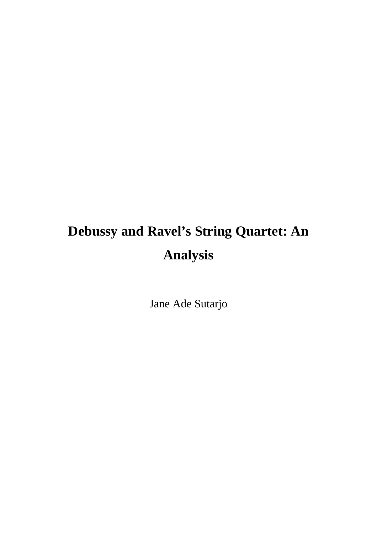# **Debussy and Ravel's String Quartet: An Analysis**

Jane Ade Sutarjo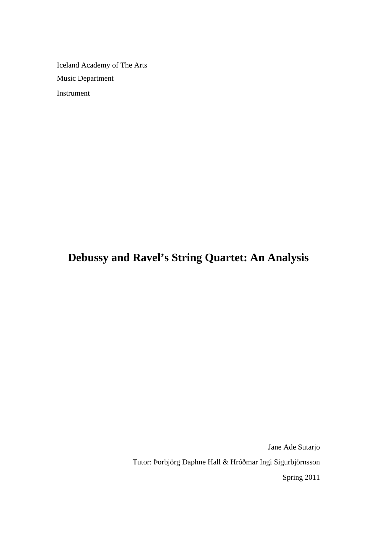Iceland Academy of The Arts Music Department Instrument

**Debussy and Ravel's String Quartet: An Analysis**

Jane Ade Sutarjo Tutor: Þorbjörg Daphne Hall & Hróðmar Ingi Sigurbjörnsson Spring 2011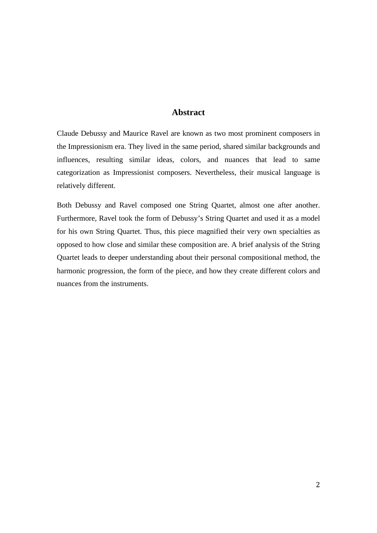# **Abstract**

Claude Debussy and Maurice Ravel are known as two most prominent composers in the Impressionism era. They lived in the same period, shared similar backgrounds and influences, resulting similar ideas, colors, and nuances that lead to same categorization as Impressionist composers. Nevertheless, their musical language is relatively different.

Both Debussy and Ravel composed one String Quartet, almost one after another. Furthermore, Ravel took the form of Debussy's String Quartet and used it as a model for his own String Quartet. Thus, this piece magnified their very own specialties as opposed to how close and similar these composition are. A brief analysis of the String Quartet leads to deeper understanding about their personal compositional method, the harmonic progression, the form of the piece, and how they create different colors and nuances from the instruments.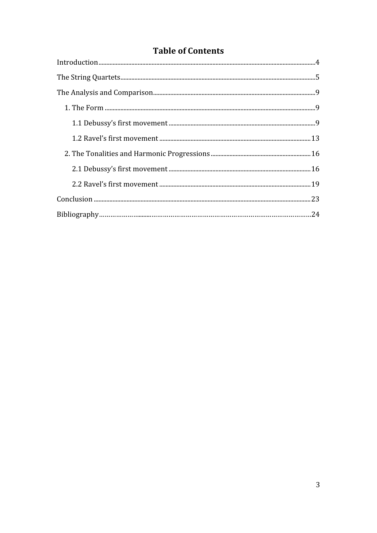# **Table of Contents**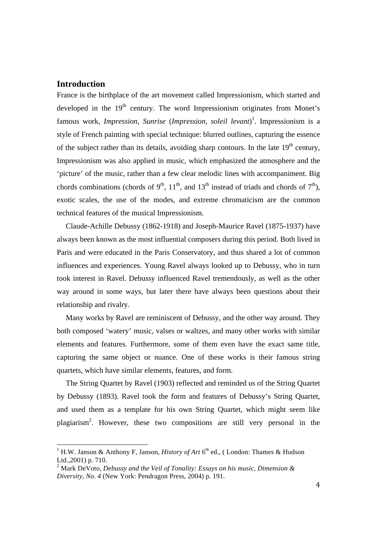# **Introduction**

France is the birthplace of the art movement called Impressionism, which started and developed in the  $19<sup>th</sup>$  century. The word Impressionism originates from Monet's famous work, *Impression, Sunrise* (*Impression, soleil levant*) 1 . Impressionism is a style of French painting with special technique: blurred outlines, capturing the essence of the subject rather than its details, avoiding sharp contours. In the late  $19<sup>th</sup>$  century, Impressionism was also applied in music, which emphasized the atmosphere and the 'picture' of the music, rather than a few clear melodic lines with accompaniment. Big chords combinations (chords of 9<sup>th</sup>, 11<sup>th</sup>, and 13<sup>th</sup> instead of triads and chords of 7<sup>th</sup>), exotic scales, the use of the modes, and extreme chromaticism are the common technical features of the musical Impressionism.

Claude-Achille Debussy (1862-1918) and Joseph-Maurice Ravel (1875-1937) have always been known as the most influential composers during this period. Both lived in Paris and were educated in the Paris Conservatory, and thus shared a lot of common influences and experiences. Young Ravel always looked up to Debussy, who in turn took interest in Ravel. Debussy influenced Ravel tremendously, as well as the other way around in some ways, but later there have always been questions about their relationship and rivalry.

Many works by Ravel are reminiscent of Debussy, and the other way around. They both composed 'watery' music, valses or waltzes, and many other works with similar elements and features. Furthermore, some of them even have the exact same title, capturing the same object or nuance. One of these works is their famous string quartets, which have similar elements, features, and form.

The String Quartet by Ravel (1903) reflected and reminded us of the String Quartet by Debussy (1893). Ravel took the form and features of Debussy's String Quartet, and used them as a template for his own String Quartet, which might seem like plagiarism<sup>2</sup>. However, these two compositions are still very personal in the

 $\frac{1}{1}$ <sup>1</sup> H.W. Janson & Anthony F, Janson, *History of Art*  $6<sup>th</sup>$  ed., (London: Thames & Hudson Ltd.,2001) p. 710.

<sup>2</sup> Mark DeVoto, *Debussy and the Veil of Tonality: Essays on his music, Dimension & Diversity, No. 4* (New York: Pendragon Press, 2004) p. 191.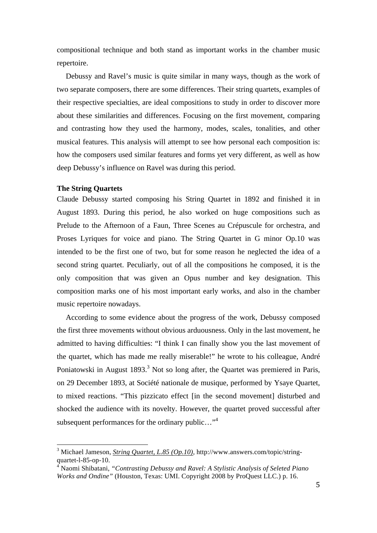compositional technique and both stand as important works in the chamber music repertoire.

Debussy and Ravel's music is quite similar in many ways, though as the work of two separate composers, there are some differences. Their string quartets, examples of their respective specialties, are ideal compositions to study in order to discover more about these similarities and differences. Focusing on the first movement, comparing and contrasting how they used the harmony, modes, scales, tonalities, and other musical features. This analysis will attempt to see how personal each composition is: how the composers used similar features and forms yet very different, as well as how deep Debussy's influence on Ravel was during this period.

#### **The String Quartets**

Claude Debussy started composing his String Quartet in 1892 and finished it in August 1893. During this period, he also worked on huge compositions such as Prelude to the Afternoon of a Faun, Three Scenes au Crépuscule for orchestra, and Proses Lyriques for voice and piano. The String Quartet in G minor Op.10 was intended to be the first one of two, but for some reason he neglected the idea of a second string quartet. Peculiarly, out of all the compositions he composed, it is the only composition that was given an Opus number and key designation. This composition marks one of his most important early works, and also in the chamber music repertoire nowadays.

According to some evidence about the progress of the work, Debussy composed the first three movements without obvious arduousness. Only in the last movement, he admitted to having difficulties: "I think I can finally show you the last movement of the quartet, which has made me really miserable!" he wrote to his colleague, André Poniatowski in August 1893.<sup>3</sup> Not so long after, the Quartet was premiered in Paris, on 29 December 1893, at Société nationale de musique, performed by Ysaye Quartet, to mixed reactions. "This pizzicato effect [in the second movement] disturbed and shocked the audience with its novelty. However, the quartet proved successful after subsequent performances for the ordinary public..."<sup>4</sup>

 <sup>3</sup> Michael Jameson, *String Quartet, L.85 (Op.10),* http://www.answers.com/topic/stringquartet-l-85-op-10.

<sup>4</sup> Naomi Shibatani, *"Contrasting Debussy and Ravel: A Stylistic Analysis of Seleted Piano Works and Ondine"* (Houston, Texas: UMI. Copyright 2008 by ProQuest LLC.) p. 16.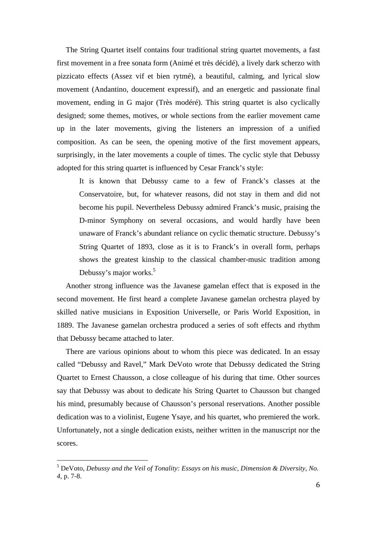The String Quartet itself contains four traditional string quartet movements, a fast first movement in a free sonata form (Animé et très décidé), a lively dark scherzo with pizzicato effects (Assez vif et bien rytmé), a beautiful, calming, and lyrical slow movement (Andantino, doucement expressif), and an energetic and passionate final movement, ending in G major (Très modéré). This string quartet is also cyclically designed; some themes, motives, or whole sections from the earlier movement came up in the later movements, giving the listeners an impression of a unified composition. As can be seen, the opening motive of the first movement appears, surprisingly, in the later movements a couple of times. The cyclic style that Debussy adopted for this string quartet is influenced by Cesar Franck's style:

It is known that Debussy came to a few of Franck's classes at the Conservatoire, but, for whatever reasons, did not stay in them and did not become his pupil. Nevertheless Debussy admired Franck's music, praising the D-minor Symphony on several occasions, and would hardly have been unaware of Franck's abundant reliance on cyclic thematic structure. Debussy's String Quartet of 1893, close as it is to Franck's in overall form, perhaps shows the greatest kinship to the classical chamber-music tradition among Debussy's major works.<sup>5</sup>

Another strong influence was the Javanese gamelan effect that is exposed in the second movement. He first heard a complete Javanese gamelan orchestra played by skilled native musicians in Exposition Universelle, or Paris World Exposition, in 1889. The Javanese gamelan orchestra produced a series of soft effects and rhythm that Debussy became attached to later.

There are various opinions about to whom this piece was dedicated. In an essay called "Debussy and Ravel," Mark DeVoto wrote that Debussy dedicated the String Quartet to Ernest Chausson, a close colleague of his during that time. Other sources say that Debussy was about to dedicate his String Quartet to Chausson but changed his mind, presumably because of Chausson's personal reservations. Another possible dedication was to a violinist, Eugene Ysaye, and his quartet, who premiered the work. Unfortunately, not a single dedication exists, neither written in the manuscript nor the scores.

 <sup>5</sup> DeVoto, *Debussy and the Veil of Tonality: Essays on his music, Dimension & Diversity, No. 4*, p. 7-8.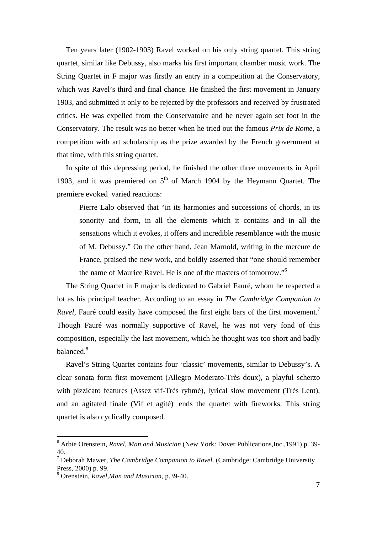Ten years later (1902-1903) Ravel worked on his only string quartet. This string quartet, similar like Debussy, also marks his first important chamber music work. The String Quartet in F major was firstly an entry in a competition at the Conservatory, which was Ravel's third and final chance. He finished the first movement in January 1903, and submitted it only to be rejected by the professors and received by frustrated critics. He was expelled from the Conservatoire and he never again set foot in the Conservatory. The result was no better when he tried out the famous *Prix de Rome*, a competition with art scholarship as the prize awarded by the French government at that time, with this string quartet.

In spite of this depressing period, he finished the other three movements in April 1903, and it was premiered on  $5<sup>th</sup>$  of March 1904 by the Heymann Quartet. The premiere evoked varied reactions:

Pierre Lalo observed that "in its harmonies and successions of chords, in its sonority and form, in all the elements which it contains and in all the sensations which it evokes, it offers and incredible resemblance with the music of M. Debussy." On the other hand, Jean Marnold, writing in the mercure de France, praised the new work, and boldly asserted that "one should remember the name of Maurice Ravel. He is one of the masters of tomorrow."<sup>6</sup>

The String Quartet in F major is dedicated to Gabriel Fauré, whom he respected a lot as his principal teacher. According to an essay in *The Cambridge Companion to Ravel*, Fauré could easily have composed the first eight bars of the first movement.<sup>7</sup> Though Fauré was normally supportive of Ravel, he was not very fond of this composition, especially the last movement, which he thought was too short and badly balanced.<sup>8</sup>

Ravel's String Quartet contains four 'classic' movements, similar to Debussy's. A clear sonata form first movement (Allegro Moderato-Très doux), a playful scherzo with pizzicato features (Assez vif-Très ryhmé), lyrical slow movement (Très Lent), and an agitated finale (Vif et agité) ends the quartet with fireworks. This string quartet is also cyclically composed.

 $\frac{1}{6}$  Arbie Orenstein, *Ravel, Man and Musician* (New York: Dover Publications,Inc.,1991) p. 39- 40.

<sup>7</sup> Deborah Mawer, *The Cambridge Companion to Ravel*. (Cambridge: Cambridge University Press, 2000) p. 99.

<sup>8</sup> Orenstein, *Ravel,Man and Musician*, p.39-40.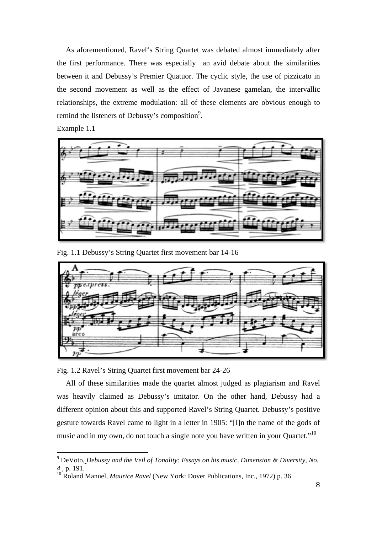As aforementioned, Ravel's String Quartet was debated almost immediately after the first performance. There was especially an avid debate about the similarities between it and Debussy's Premier Quatuor. The cyclic style, the use of pizzicato in the second movement as well as the effect of Javanese gamelan, the intervallic relationships, the extreme modulation: all of these elements are obvious enough to remind the listeners of Debussy's composition<sup>9</sup>.

Example 1.1



Fig. 1.1 Debussy's String Quartet first movement bar 14-16



Fig. 1.2 Ravel's String Quartet first movement bar 24-26

All of these similarities made the quartet almost judged as plagiarism and Ravel was heavily claimed as Debussy's imitator. On the other hand, Debussy had a different opinion about this and supported Ravel's String Quartet. Debussy's positive gesture towards Ravel came to light in a letter in 1905: "[I]n the name of the gods of music and in my own, do not touch a single note you have written in your Quartet."<sup>10</sup>

<sup>-&</sup>lt;br>9 DeVoto, *Debussy and the Veil of Tonality: Essays on his music, Dimension & Diversity, No. 4 ,* p. 191.

<sup>&</sup>lt;sup>10</sup> Roland Manuel, *Maurice Ravel* (New York: Dover Publications, Inc., 1972) p. 36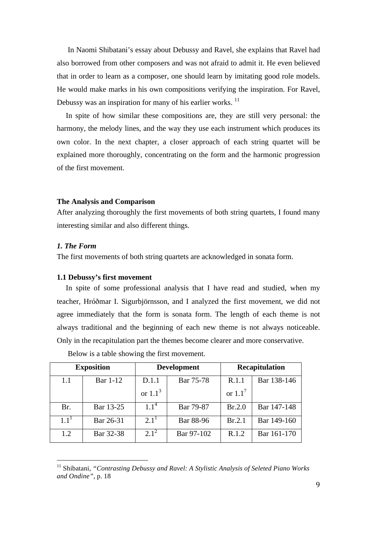In Naomi Shibatani's essay about Debussy and Ravel, she explains that Ravel had also borrowed from other composers and was not afraid to admit it. He even believed that in order to learn as a composer, one should learn by imitating good role models. He would make marks in his own compositions verifying the inspiration. For Ravel, Debussy was an inspiration for many of his earlier works.<sup>11</sup>

In spite of how similar these compositions are, they are still very personal: the harmony, the melody lines, and the way they use each instrument which produces its own color. In the next chapter, a closer approach of each string quartet will be explained more thoroughly, concentrating on the form and the harmonic progression of the first movement.

#### **The Analysis and Comparison**

After analyzing thoroughly the first movements of both string quartets, I found many interesting similar and also different things.

#### *1. The Form*

The first movements of both string quartets are acknowledged in sonata form.

#### **1.1 Debussy's first movement**

In spite of some professional analysis that I have read and studied, when my teacher, Hróðmar I. Sigurbjörnsson, and I analyzed the first movement, we did not agree immediately that the form is sonata form. The length of each theme is not always traditional and the beginning of each new theme is not always noticeable. Only in the recapitulation part the themes become clearer and more conservative.

| <b>Exposition</b> |                 | <b>Development</b> |            | Recapitulation        |             |
|-------------------|-----------------|--------------------|------------|-----------------------|-------------|
| 1.1               | <b>Bar 1-12</b> | D.1.1              | Bar 75-78  | R.1.1                 | Bar 138-146 |
|                   |                 | or $1.13$          |            | or $1.1$ <sup>'</sup> |             |
| Br.               | Bar 13-25       | 1.1 <sup>4</sup>   | Bar 79-87  | Br.2.0                | Bar 147-148 |
| $1.1^{1}$         | Bar 26-31       | $2.1^{1}$          | Bar 88-96  | Br.2.1                | Bar 149-160 |
| 1.2               | Bar 32-38       | $2.1^2$            | Bar 97-102 | R.1.2                 | Bar 161-170 |

Below is a table showing the first movement.

<sup>&</sup>lt;sup>11</sup> Shibatani, *"Contrasting Debussy and Ravel: A Stylistic Analysis of Seleted Piano Works and Ondine"*, p. 18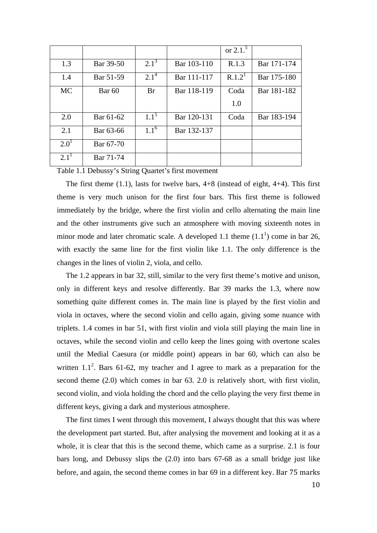|           |                   |           |             | or $2.1^{3}$       |             |
|-----------|-------------------|-----------|-------------|--------------------|-------------|
| 1.3       | Bar 39-50         | $2.1^3$   | Bar 103-110 | R.1.3              | Bar 171-174 |
| 1.4       | Bar 51-59         | $2.1^{4}$ | Bar 111-117 | R.1.2 <sup>1</sup> | Bar 175-180 |
| <b>MC</b> | Bar <sub>60</sub> | <b>Br</b> | Bar 118-119 | Coda               | Bar 181-182 |
|           |                   |           |             | 1.0                |             |
| 2.0       | Bar 61-62         | $1.1^5$   | Bar 120-131 | Coda               | Bar 183-194 |
| 2.1       | Bar 63-66         | $1.1^{6}$ | Bar 132-137 |                    |             |
| $2.0^{1}$ | Bar 67-70         |           |             |                    |             |
| $2.1^1$   | Bar 71-74         |           |             |                    |             |

Table 1.1 Debussy's String Quartet's first movement

The first theme  $(1.1)$ , lasts for twelve bars,  $4+8$  (instead of eight,  $4+4$ ). This first theme is very much unison for the first four bars. This first theme is followed immediately by the bridge, where the first violin and cello alternating the main line and the other instruments give such an atmosphere with moving sixteenth notes in minor mode and later chromatic scale. A developed 1.1 theme  $(1.1^1)$  come in bar 26, with exactly the same line for the first violin like 1.1. The only difference is the changes in the lines of violin 2, viola, and cello.

The 1.2 appears in bar 32, still, similar to the very first theme's motive and unison, only in different keys and resolve differently. Bar 39 marks the 1.3, where now something quite different comes in. The main line is played by the first violin and viola in octaves, where the second violin and cello again, giving some nuance with triplets. 1.4 comes in bar 51, with first violin and viola still playing the main line in octaves, while the second violin and cello keep the lines going with overtone scales until the Medial Caesura (or middle point) appears in bar 60, which can also be written  $1.1^2$ . Bars 61-62, my teacher and I agree to mark as a preparation for the second theme (2.0) which comes in bar 63. 2.0 is relatively short, with first violin, second violin, and viola holding the chord and the cello playing the very first theme in different keys, giving a dark and mysterious atmosphere.

The first times I went through this movement, I always thought that this was where the development part started. But, after analysing the movement and looking at it as a whole, it is clear that this is the second theme, which came as a surprise. 2.1 is four bars long, and Debussy slips the (2.0) into bars 67-68 as a small bridge just like before, and again, the second theme comes in bar 69 in a different key.Bar
75
marks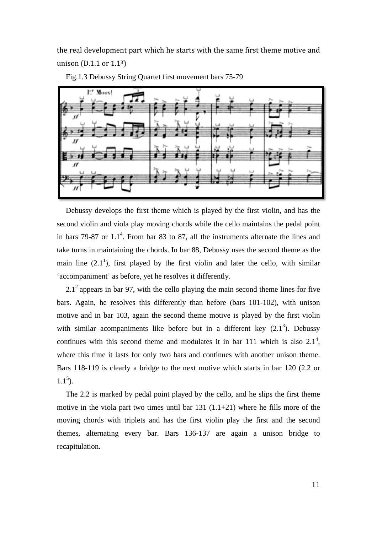the
real
development
part
which
he
starts
with
the
same
first
theme
motive
and unison (D.1.1 or 1.1<sup>3</sup>)



Fig.1.3 Debussy String Quartet first movement bars 75-79

Debussy develops the first theme which is played by the first violin, and has the second violin and viola play moving chords while the cello maintains the pedal point in bars 79-87 or  $1.1<sup>4</sup>$ . From bar 83 to 87, all the instruments alternate the lines and take turns in maintaining the chords. In bar 88, Debussy uses the second theme as the main line  $(2.1^1)$ , first played by the first violin and later the cello, with similar 'accompaniment' as before, yet he resolves it differently.

 $2.1<sup>2</sup>$  appears in bar 97, with the cello playing the main second theme lines for five bars. Again, he resolves this differently than before (bars 101-102), with unison motive and in bar 103, again the second theme motive is played by the first violin with similar acompaniments like before but in a different key  $(2.1^3)$ . Debussy continues with this second theme and modulates it in bar 111 which is also  $2.1^4$ , where this time it lasts for only two bars and continues with another unison theme. Bars 118-119 is clearly a bridge to the next motive which starts in bar 120 (2.2 or  $1.1<sup>5</sup>$ ).

The 2.2 is marked by pedal point played by the cello, and he slips the first theme motive in the viola part two times until bar  $131$   $(1.1+21)$  where he fills more of the moving chords with triplets and has the first violin play the first and the second themes, alternating every bar. Bars 136-137 are again a unison bridge to recapitulation.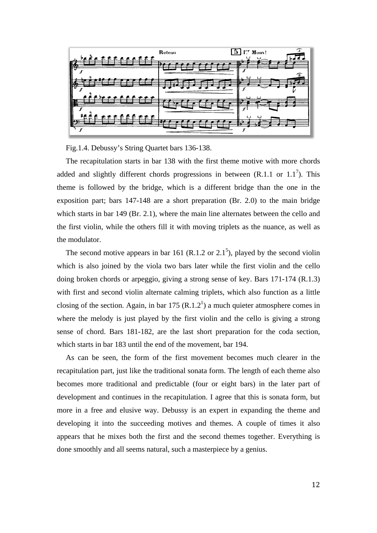

Fig.1.4. Debussy's String Quartet bars 136-138.

The recapitulation starts in bar 138 with the first theme motive with more chords added and slightly different chords progressions in between  $(R.1.1 \text{ or } 1.1^7)$ . This theme is followed by the bridge, which is a different bridge than the one in the exposition part; bars 147-148 are a short preparation (Br. 2.0) to the main bridge which starts in bar 149 (Br. 2.1), where the main line alternates between the cello and the first violin, while the others fill it with moving triplets as the nuance, as well as the modulator.

The second motive appears in bar 161 (R.1.2 or 2.1<sup>5</sup>), played by the second violin which is also joined by the viola two bars later while the first violin and the cello doing broken chords or arpeggio, giving a strong sense of key. Bars 171-174 (R.1.3) with first and second violin alternate calming triplets, which also function as a little closing of the section. Again, in bar 175  $(R.1.2<sup>1</sup>)$  a much quieter atmosphere comes in where the melody is just played by the first violin and the cello is giving a strong sense of chord. Bars 181-182, are the last short preparation for the coda section, which starts in bar 183 until the end of the movement, bar 194.

As can be seen, the form of the first movement becomes much clearer in the recapitulation part, just like the traditional sonata form. The length of each theme also becomes more traditional and predictable (four or eight bars) in the later part of development and continues in the recapitulation. I agree that this is sonata form, but more in a free and elusive way. Debussy is an expert in expanding the theme and developing it into the succeeding motives and themes. A couple of times it also appears that he mixes both the first and the second themes together. Everything is done smoothly and all seems natural, such a masterpiece by a genius.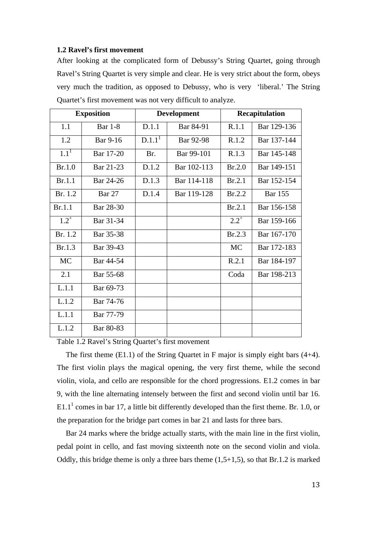#### **1.2 Ravel's first movement**

After looking at the complicated form of Debussy's String Quartet, going through Ravel's String Quartet is very simple and clear. He is very strict about the form, obeys very much the tradition, as opposed to Debussy, who is very 'liberal.' The String Quartet's first movement was not very difficult to analyze.

| <b>Exposition</b> |                | <b>Development</b> |             | <b>Recapitulation</b> |                |
|-------------------|----------------|--------------------|-------------|-----------------------|----------------|
| 1.1               | <b>Bar</b> 1-8 | D.1.1              | Bar 84-91   | R.1.1                 | Bar 129-136    |
| 1.2               | Bar 9-16       | D.1.1 <sup>1</sup> | Bar 92-98   | R.1.2                 | Bar 137-144    |
| $1.1^{1}$         | Bar 17-20      | Br.                | Bar 99-101  | R.1.3                 | Bar 145-148    |
| Br.1.0            | Bar 21-23      | D.1.2              | Bar 102-113 | Br.2.0                | Bar 149-151    |
| Br.1.1            | Bar 24-26      | D.1.3              | Bar 114-118 | Br.2.1                | Bar 152-154    |
| Br. 1.2           | <b>Bar 27</b>  | D.1.4              | Bar 119-128 | Br.2.2                | <b>Bar 155</b> |
| Br.1.1            | Bar 28-30      |                    |             | Br.2.1                | Bar 156-158    |
| $1.2^{+}$         | Bar 31-34      |                    |             | $2.2^{+}$             | Bar 159-166    |
| Br. 1.2           | Bar 35-38      |                    |             | Br.2.3                | Bar 167-170    |
| Br.1.3            | Bar 39-43      |                    |             | <b>MC</b>             | Bar 172-183    |
| <b>MC</b>         | Bar 44-54      |                    |             | R.2.1                 | Bar 184-197    |
| 2.1               | Bar 55-68      |                    |             | Coda                  | Bar 198-213    |
| L.1.1             | Bar 69-73      |                    |             |                       |                |
| L.1.2             | Bar 74-76      |                    |             |                       |                |
| L.1.1             | Bar 77-79      |                    |             |                       |                |
| L.1.2             | Bar 80-83      |                    |             |                       |                |

Table 1.2 Ravel's String Quartet's first movement

The first theme (E1.1) of the String Quartet in F major is simply eight bars (4+4). The first violin plays the magical opening, the very first theme, while the second violin, viola, and cello are responsible for the chord progressions. E1.2 comes in bar 9, with the line alternating intensely between the first and second violin until bar 16.  $E1.1<sup>1</sup>$  comes in bar 17, a little bit differently developed than the first theme. Br. 1.0, or the preparation for the bridge part comes in bar 21 and lasts for three bars.

Bar 24 marks where the bridge actually starts, with the main line in the first violin, pedal point in cello, and fast moving sixteenth note on the second violin and viola. Oddly, this bridge theme is only a three bars theme  $(1,5+1,5)$ , so that Br.1.2 is marked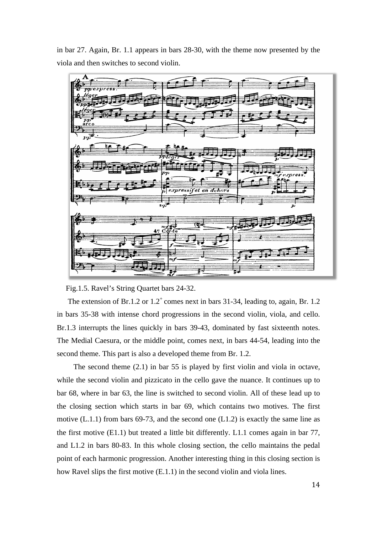in bar 27. Again, Br. 1.1 appears in bars 28-30, with the theme now presented by the viola and then switches to second violin.



Fig.1.5. Ravel's String Quartet bars 24-32.

The extension of Br.1.2 or  $1.2<sup>+</sup>$  comes next in bars 31-34, leading to, again, Br. 1.2 in bars 35-38 with intense chord progressions in the second violin, viola, and cello. Br.1.3 interrupts the lines quickly in bars 39-43, dominated by fast sixteenth notes. The Medial Caesura, or the middle point, comes next, in bars 44-54, leading into the second theme. This part is also a developed theme from Br. 1.2.

The second theme (2.1) in bar 55 is played by first violin and viola in octave, while the second violin and pizzicato in the cello gave the nuance. It continues up to bar 68, where in bar 63, the line is switched to second violin. All of these lead up to the closing section which starts in bar 69, which contains two motives. The first motive (L.1.1) from bars 69-73, and the second one (L1.2) is exactly the same line as the first motive (E1.1) but treated a little bit differently. L1.1 comes again in bar 77, and L1.2 in bars 80-83. In this whole closing section, the cello maintains the pedal point of each harmonic progression. Another interesting thing in this closing section is how Ravel slips the first motive (E.1.1) in the second violin and viola lines.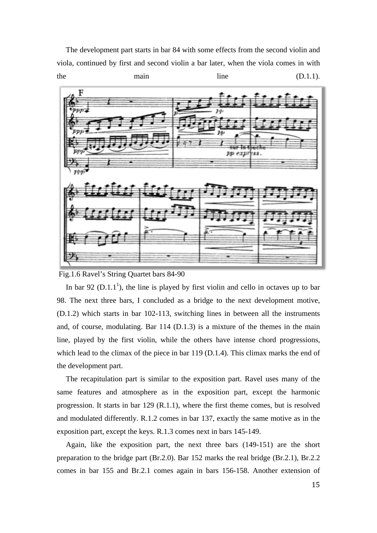The development part starts in bar 84 with some effects from the second violin and viola, continued by first and second violin a bar later, when the viola comes in with the main main line (D.1.1).



Fig.1.6 Ravel's String Quartet bars 84-90

In bar 92 ( $D.1.1<sup>1</sup>$ ), the line is played by first violin and cello in octaves up to bar 98. The next three bars, I concluded as a bridge to the next development motive, (D.1.2) which starts in bar 102-113, switching lines in between all the instruments and, of course, modulating. Bar 114 (D.1.3) is a mixture of the themes in the main line, played by the first violin, while the others have intense chord progressions, which lead to the climax of the piece in bar 119 (D.1.4). This climax marks the end of the development part.

The recapitulation part is similar to the exposition part. Ravel uses many of the same features and atmosphere as in the exposition part, except the harmonic progression. It starts in bar 129 (R.1.1), where the first theme comes, but is resolved and modulated differently. R.1.2 comes in bar 137, exactly the same motive as in the exposition part, except the keys. R.1.3 comes next in bars 145-149.

Again, like the exposition part, the next three bars (149-151) are the short preparation to the bridge part (Br.2.0). Bar 152 marks the real bridge (Br.2.1), Br.2.2 comes in bar 155 and Br.2.1 comes again in bars 156-158. Another extension of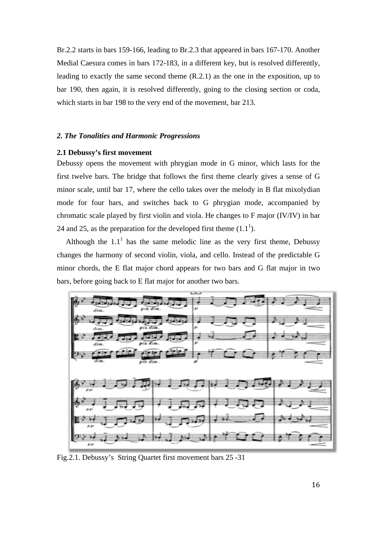Br.2.2 starts in bars 159-166, leading to Br.2.3 that appeared in bars 167-170. Another Medial Caesura comes in bars 172-183, in a different key, but is resolved differently, leading to exactly the same second theme (R.2.1) as the one in the exposition, up to bar 190, then again, it is resolved differently, going to the closing section or coda, which starts in bar 198 to the very end of the movement, bar 213.

## *2. The Tonalities and Harmonic Progressions*

### **2.1 Debussy's first movement**

Debussy opens the movement with phrygian mode in G minor, which lasts for the first twelve bars. The bridge that follows the first theme clearly gives a sense of G minor scale, until bar 17, where the cello takes over the melody in B flat mixolydian mode for four bars, and switches back to G phrygian mode, accompanied by chromatic scale played by first violin and viola. He changes to F major (IV/IV) in bar 24 and 25, as the preparation for the developed first theme  $(1.1^1)$ .

Although the  $1.1<sup>1</sup>$  has the same melodic line as the very first theme, Debussy changes the harmony of second violin, viola, and cello. Instead of the predictable G minor chords, the E flat major chord appears for two bars and G flat major in two bars, before going back to E flat major for another two bars.



Fig.2.1. Debussy's String Quartet first movement bars 25 -31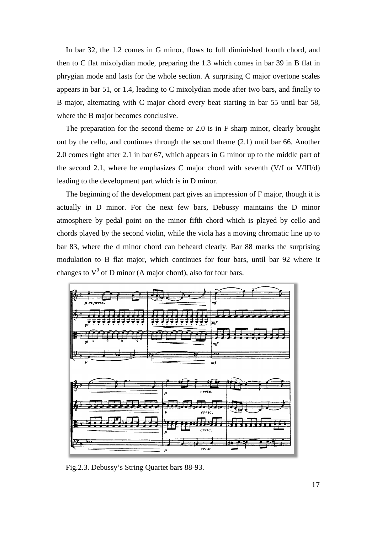In bar 32, the 1.2 comes in G minor, flows to full diminished fourth chord, and then to C flat mixolydian mode, preparing the 1.3 which comes in bar 39 in B flat in phrygian mode and lasts for the whole section. A surprising C major overtone scales appears in bar 51, or 1.4, leading to C mixolydian mode after two bars, and finally to B major, alternating with C major chord every beat starting in bar 55 until bar 58, where the B major becomes conclusive.

The preparation for the second theme or 2.0 is in F sharp minor, clearly brought out by the cello, and continues through the second theme (2.1) until bar 66. Another 2.0 comes right after 2.1 in bar 67, which appears in G minor up to the middle part of the second 2.1, where he emphasizes C major chord with seventh (V/f or V/III/d) leading to the development part which is in D minor.

The beginning of the development part gives an impression of F major, though it is actually in D minor. For the next few bars, Debussy maintains the D minor atmosphere by pedal point on the minor fifth chord which is played by cello and chords played by the second violin, while the viola has a moving chromatic line up to bar 83, where the d minor chord can beheard clearly. Bar 88 marks the surprising modulation to B flat major, which continues for four bars, until bar 92 where it changes to  $V^9$  of D minor (A major chord), also for four bars.



Fig.2.3. Debussy's String Quartet bars 88-93.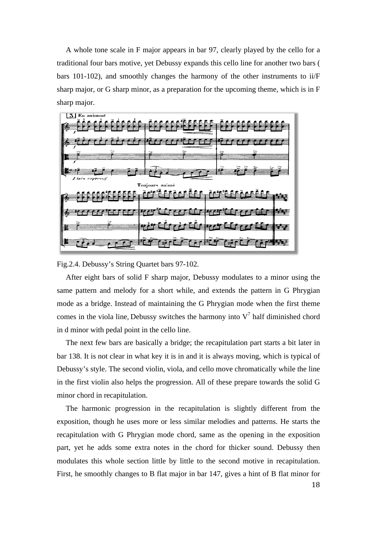A whole tone scale in F major appears in bar 97, clearly played by the cello for a traditional four bars motive, yet Debussy expands this cello line for another two bars ( bars 101-102), and smoothly changes the harmony of the other instruments to ii/F sharp major, or G sharp minor, as a preparation for the upcoming theme, which is in F sharp major.

![](_page_19_Figure_1.jpeg)

Fig.2.4. Debussy's String Quartet bars 97-102.

After eight bars of solid F sharp major, Debussy modulates to a minor using the same pattern and melody for a short while, and extends the pattern in G Phrygian mode as a bridge. Instead of maintaining the G Phrygian mode when the first theme comes in the viola line, Debussy switches the harmony into  $V^7$  half diminished chord in d minor with pedal point in the cello line.

The next few bars are basically a bridge; the recapitulation part starts a bit later in bar 138. It is not clear in what key it is in and it is always moving, which is typical of Debussy's style. The second violin, viola, and cello move chromatically while the line in the first violin also helps the progression. All of these prepare towards the solid G minor chord in recapitulation.

The harmonic progression in the recapitulation is slightly different from the exposition, though he uses more or less similar melodies and patterns. He starts the recapitulation with G Phrygian mode chord, same as the opening in the exposition part, yet he adds some extra notes in the chord for thicker sound. Debussy then modulates this whole section little by little to the second motive in recapitulation. First, he smoothly changes to B flat major in bar 147, gives a hint of B flat minor for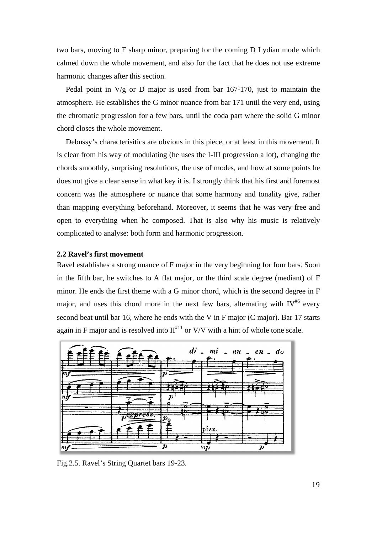two bars, moving to F sharp minor, preparing for the coming D Lydian mode which calmed down the whole movement, and also for the fact that he does not use extreme harmonic changes after this section.

Pedal point in V/g or D major is used from bar 167-170, just to maintain the atmosphere. He establishes the G minor nuance from bar 171 until the very end, using the chromatic progression for a few bars, until the coda part where the solid G minor chord closes the whole movement.

Debussy's characterisitics are obvious in this piece, or at least in this movement. It is clear from his way of modulating (he uses the I-III progression a lot), changing the chords smoothly, surprising resolutions, the use of modes, and how at some points he does not give a clear sense in what key it is. I strongly think that his first and foremost concern was the atmosphere or nuance that some harmony and tonality give, rather than mapping everything beforehand. Moreover, it seems that he was very free and open to everything when he composed. That is also why his music is relatively complicated to analyse: both form and harmonic progression.

#### **2.2 Ravel's first movement**

Ravel establishes a strong nuance of F major in the very beginning for four bars. Soon in the fifth bar, he switches to A flat major, or the third scale degree (mediant) of F minor. He ends the first theme with a G minor chord, which is the second degree in F major, and uses this chord more in the next few bars, alternating with  $IV^{46}$  every second beat until bar 16, where he ends with the V in F major (C major). Bar 17 starts again in F major and is resolved into  $II<sup>#11</sup>$  or V/V with a hint of whole tone scale.

![](_page_20_Figure_5.jpeg)

Fig.2.5. Ravel's String Quartet bars 19-23.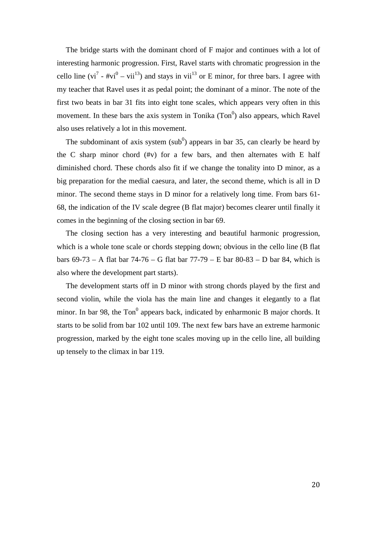The bridge starts with the dominant chord of F major and continues with a lot of interesting harmonic progression. First, Ravel starts with chromatic progression in the cello line (vi<sup>7</sup> - #vi<sup>0</sup> – vii<sup>13</sup>) and stays in vii<sup>13</sup> or E minor, for three bars. I agree with my teacher that Ravel uses it as pedal point; the dominant of a minor. The note of the first two beats in bar 31 fits into eight tone scales, which appears very often in this movement. In these bars the axis system in Tonika  $(Ton<sup>0</sup>)$  also appears, which Ravel also uses relatively a lot in this movement.

The subdominant of axis system ( $sub^0$ ) appears in bar 35, can clearly be heard by the C sharp minor chord  $($ #v $)$  for a few bars, and then alternates with E half diminished chord. These chords also fit if we change the tonality into D minor, as a big preparation for the medial caesura, and later, the second theme, which is all in D minor. The second theme stays in D minor for a relatively long time. From bars 61- 68, the indication of the IV scale degree (B flat major) becomes clearer until finally it comes in the beginning of the closing section in bar 69.

The closing section has a very interesting and beautiful harmonic progression, which is a whole tone scale or chords stepping down; obvious in the cello line (B flat bars 69-73 – A flat bar 74-76 – G flat bar 77-79 – E bar 80-83 – D bar 84, which is also where the development part starts).

The development starts off in D minor with strong chords played by the first and second violin, while the viola has the main line and changes it elegantly to a flat minor. In bar 98, the  $Ton<sup>0</sup>$  appears back, indicated by enharmonic B major chords. It starts to be solid from bar 102 until 109. The next few bars have an extreme harmonic progression, marked by the eight tone scales moving up in the cello line, all building up tensely to the climax in bar 119.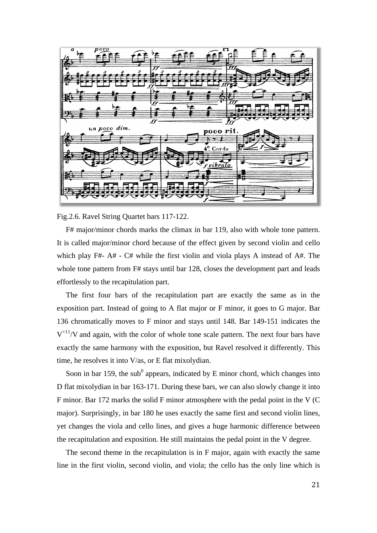![](_page_22_Figure_0.jpeg)

Fig.2.6. Ravel String Quartet bars 117-122.

F# major/minor chords marks the climax in bar 119, also with whole tone pattern. It is called major/minor chord because of the effect given by second violin and cello which play F#- A# - C# while the first violin and viola plays A instead of A#. The whole tone pattern from F# stays until bar 128, closes the development part and leads effortlessly to the recapitulation part.

The first four bars of the recapitulation part are exactly the same as in the exposition part. Instead of going to A flat major or F minor, it goes to G major. Bar 136 chromatically moves to F minor and stays until 148. Bar 149-151 indicates the  $V^{+11}/V$  and again, with the color of whole tone scale pattern. The next four bars have exactly the same harmony with the exposition, but Ravel resolved it differently. This time, he resolves it into V/as, or E flat mixolydian.

Soon in bar 159, the sub<sup>0</sup> appears, indicated by E minor chord, which changes into D flat mixolydian in bar 163-171. During these bars, we can also slowly change it into F minor. Bar 172 marks the solid F minor atmosphere with the pedal point in the V (C major). Surprisingly, in bar 180 he uses exactly the same first and second violin lines, yet changes the viola and cello lines, and gives a huge harmonic difference between the recapitulation and exposition. He still maintains the pedal point in the V degree.

The second theme in the recapitulation is in F major, again with exactly the same line in the first violin, second violin, and viola; the cello has the only line which is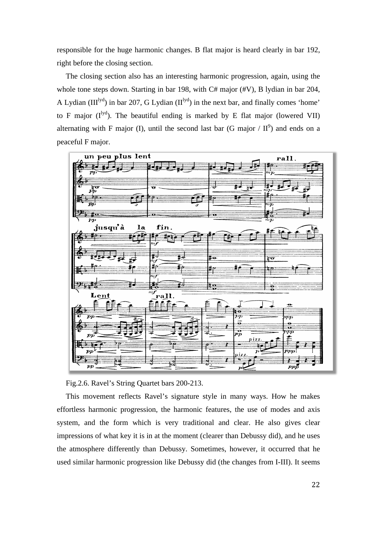responsible for the huge harmonic changes. B flat major is heard clearly in bar 192, right before the closing section.

The closing section also has an interesting harmonic progression, again, using the whole tone steps down. Starting in bar 198, with C# major (#V), B lydian in bar 204, A Lydian  $(III<sup>lyd</sup>)$  in bar 207, G Lydian  $(II<sup>lyd</sup>)$  in the next bar, and finally comes 'home' to F major  $(I^{lyd})$ . The beautiful ending is marked by E flat major (lowered VII) alternating with F major (I), until the second last bar (G major /  $II^9$ ) and ends on a peaceful F major.

![](_page_23_Figure_2.jpeg)

Fig.2.6. Ravel's String Quartet bars 200-213.

This movement reflects Ravel's signature style in many ways. How he makes effortless harmonic progression, the harmonic features, the use of modes and axis system, and the form which is very traditional and clear. He also gives clear impressions of what key it is in at the moment (clearer than Debussy did), and he uses the atmosphere differently than Debussy. Sometimes, however, it occurred that he used similar harmonic progression like Debussy did (the changes from I-III). It seems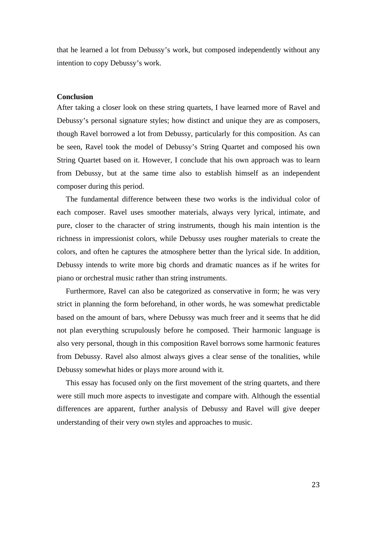that he learned a lot from Debussy's work, but composed independently without any intention to copy Debussy's work.

#### **Conclusion**

After taking a closer look on these string quartets, I have learned more of Ravel and Debussy's personal signature styles; how distinct and unique they are as composers, though Ravel borrowed a lot from Debussy, particularly for this composition. As can be seen, Ravel took the model of Debussy's String Quartet and composed his own String Quartet based on it. However, I conclude that his own approach was to learn from Debussy, but at the same time also to establish himself as an independent composer during this period.

The fundamental difference between these two works is the individual color of each composer. Ravel uses smoother materials, always very lyrical, intimate, and pure, closer to the character of string instruments, though his main intention is the richness in impressionist colors, while Debussy uses rougher materials to create the colors, and often he captures the atmosphere better than the lyrical side. In addition, Debussy intends to write more big chords and dramatic nuances as if he writes for piano or orchestral music rather than string instruments.

Furthermore, Ravel can also be categorized as conservative in form; he was very strict in planning the form beforehand, in other words, he was somewhat predictable based on the amount of bars, where Debussy was much freer and it seems that he did not plan everything scrupulously before he composed. Their harmonic language is also very personal, though in this composition Ravel borrows some harmonic features from Debussy. Ravel also almost always gives a clear sense of the tonalities, while Debussy somewhat hides or plays more around with it.

This essay has focused only on the first movement of the string quartets, and there were still much more aspects to investigate and compare with. Although the essential differences are apparent, further analysis of Debussy and Ravel will give deeper understanding of their very own styles and approaches to music.